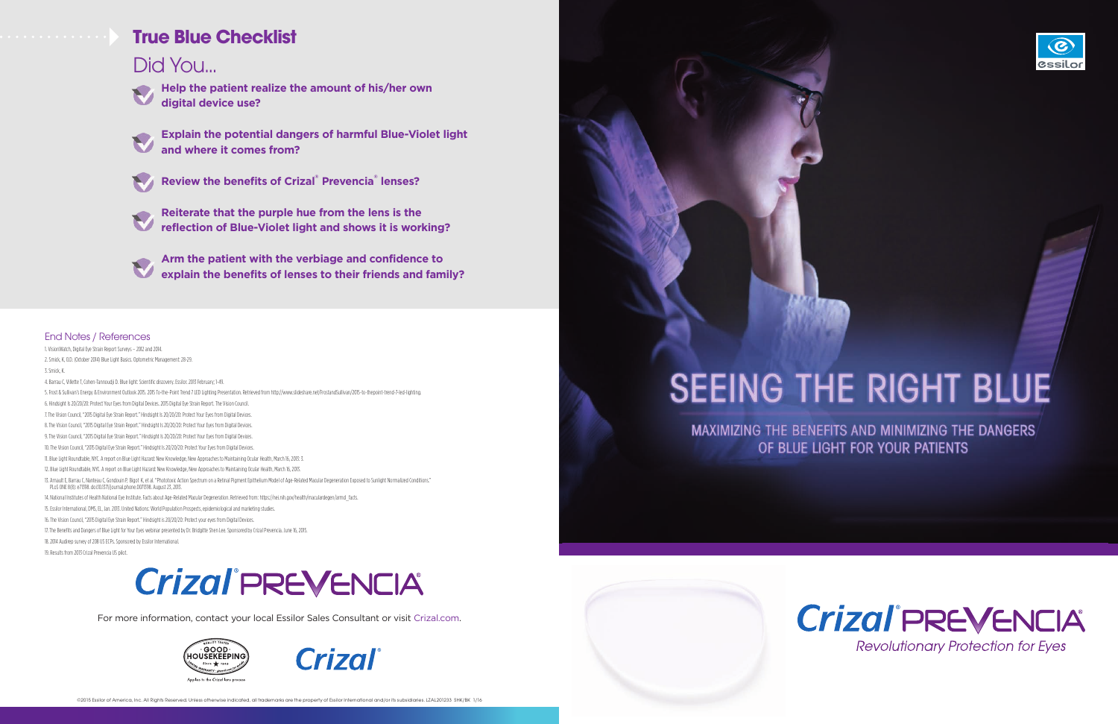**Help the patient realize the amount of his/her own digital device use?**



**Explain the potential dangers of harmful Blue-Violet light and where it comes from?**



**Review the benefits of Crizal® Prevencia® lenses?**



**Reiterate that the purple hue from the lens is the reflection of Blue-Violet light and shows it is working?**

**Arm the patient with the verbiage and confidence to explain the benefits of lenses to their friends and family?**

For more information, contact your local Essilor Sales Consultant or visit Crizal.com.





©2015 Essilor of America, Inc. All Rights Reserved. Unless otherwise indicated, all trademarks are the property of Essilor International and/or its subsidiaries. LZAL201233 SHK/BK 1/16

# **SEEING THE RIGHT BLUE**

**MAXIMIZING THE BENEFITS AND MINIMIZING THE DANGERS** OF BLUE LIGHT FOR YOUR PATIENTS







### Did You...



#### End Notes / References

1. VisionWatch, Digital Eye Strain Report Surveys – 2012 and 2014. 2. Smick, K, O.D. (October 2014) Blue Light Basics. Optometric Management: 28-29. 3. Smick, K. 4. Barrau C, Villette T, Cohen-Tannoudji D. Blue light: Scientific discovery. Essilor. 2013 February; 1-49. 5. Frost & Sullivan's Energy & Environment Outlook 2015. 2015 To-the-Point Trend 7 LED Lighting Presentation. Retrieved from http://www.slideshare.net/FrostandSullivan/2015-to-thepoint-trend-7-led-lighting. 6. Hindsight Is 20/20/20: Protect Your Eyes from Digital Devices. 2015 Digital Eye Strain Report. The Vision Council. 7. The Vision Council, "2015 Digital Eye Strain Report." Hindsight Is 20/20/20: Protect Your Eyes from Digital Devices. 8. The Vision Council, "2015 Digital Eye Strain Report." Hindsight Is 20/20/20: Protect Your Eyes from Digital Devices. 9. The Vision Council, "2015 Digital Eye Strain Report." Hindsight Is 20/20/20: Protect Your Eyes from Digital Devices. 10. The Vision Council, "2015 Digital Eye Strain Report." Hindsight Is 20/20/20: Protect Your Eyes from Digital Devices. 11. Blue Light Roundtable, NYC. A report on Blue Light Hazard: New Knowledge, New Approaches to Maintaining Ocular Health, March 16, 2013: 3. 12. Blue Light Roundtable, NYC. A report on Blue Light Hazard: New Knowledge, New Approaches to Maintaining Ocular Health, March 16, 2013. 13. Arnault E, Barrau C, Nanteau C, Gondouin P, Bigot K, et al. "Phototoxic Action Spectrum on a Retinal Pigment Epithelium Model of Age-Related Macular Degeneration Exposed to Sunlight Normalized Conditions." PLoS ONE 8(8): e71398. doi:10.1371/journal.phone.0071398. August 23, 2013. 14. National Institutes of Health National Eye Institute. Facts about Age-Related Macular Degeneration. Retrieved from: https://nei.nih.gov/health/maculardegen/armd\_facts. 15. Essilor International, DMS, EL, Jan. 2013. United Nations: World Population Prospects, epidemiological and marketing studies. 16. The Vision Council, "2015 Digital Eye Strain Report." Hindsight is 20/20/20: Protect your eyes from Digital Devices. 17. The Benefits and Dangers of Blue Light for Your Eyes webinar presented by Dr. Bridgitte Shen Lee. Sponsored by Crizal Prevencia. June 16, 2015. 18. 2014 Audirep survey of 208 US ECPs. Sponsored by Essilor International. 19. Results from 2013 Crizal Prevencia US pilot.

# **Crizal PREVENCIA**

### **True Blue Checklist**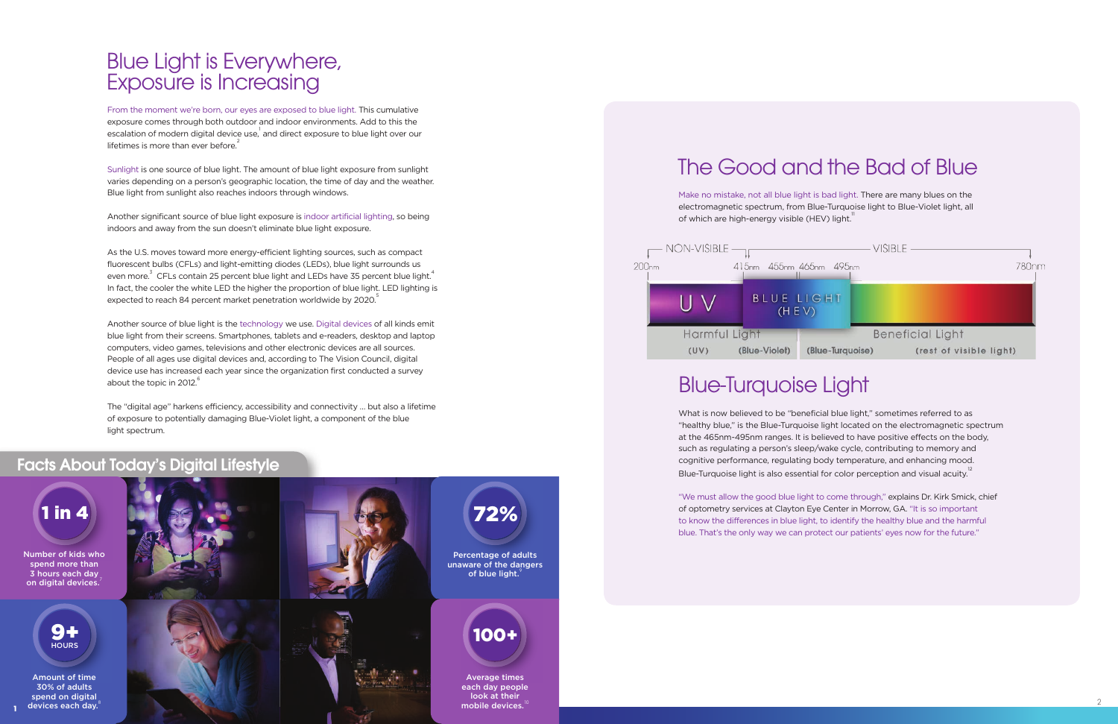As the U.S. moves toward more energy-efficient lighting sources, such as compact fluorescent bulbs (CFLs) and light-emitting diodes (LEDs), blue light surrounds us even more. $^3$  CFLs contain 25 percent blue light and LEDs have 35 percent blue light. $^4$ In fact, the cooler the white LED the higher the proportion of blue light. LED lighting is expected to reach 84 percent market penetration worldwide by 2020.

Sunlight is one source of blue light. The amount of blue light exposure from sunlight varies depending on a person's geographic location, the time of day and the weather. Blue light from sunlight also reaches indoors through windows.

Another source of blue light is the technology we use. Digital devices of all kinds emit blue light from their screens. Smartphones, tablets and e-readers, desktop and laptop computers, video games, televisions and other electronic devices are all sources. People of all ages use digital devices and, according to The Vision Council, digital device use has increased each year since the organization first conducted a survey about the topic in 2012.<sup>6</sup>

Another significant source of blue light exposure is indoor artificial lighting, so being indoors and away from the sun doesn't eliminate blue light exposure.

### Blue Light is Everywhere, Exposure is Increasing

From the moment we're born, our eyes are exposed to blue light. This cumulative exposure comes through both outdoor and indoor environments. Add to this the escalation of modern digital device use, $^\dagger$  and direct exposure to blue light over our lifetimes is more than ever before. $2$ 

> Average times each day people look at their mobile devices.

| $\rule{1em}{0.15mm}$ $\vee$ ISIBLE $-$ |                         |
|----------------------------------------|-------------------------|
| 495 <sub>nm</sub><br>n                 | 780nm                   |
| <b>HT</b>                              |                         |
|                                        | <b>Beneficial Light</b> |
| e-Turquoise)                           | (rest of visible light) |

Make no mistake, not all blue light is bad light. There are many blues on the electromagnetic spectrum, from Blue-Turquoise light to Blue-Violet light, all of which are high-energy visible (HEV) light. $11$ 



What is now believed to be "beneficial blue light," sometimes referred to as "healthy blue," is the Blue-Turquoise light located on the electromagnetic spectrum at the 465nm-495nm ranges. It is believed to have positive effects on the body, such as regulating a person's sleep/wake cycle, contributing to memory and cognitive performance, regulating body temperature, and enhancing mood. Blue-Turquoise light is also essential for color perception and visual acuity.<sup>12</sup>

The "digital age" harkens efficiency, accessibility and connectivity … but also a lifetime of exposure to potentially damaging Blue-Violet light, a component of the blue light spectrum.

### Facts About Today's Digital Lifestyle

devices each day.

100+

## The Good and the Bad of Blue

### Blue-Turquoise Light



"We must allow the good blue light to come through," explains Dr. Kirk Smick, chief of optometry services at Clayton Eye Center in Morrow, GA. "It is so important to know the differences in blue light, to identify the healthy blue and the harmful blue. That's the only way we can protect our patients' eyes now for the future."

**1**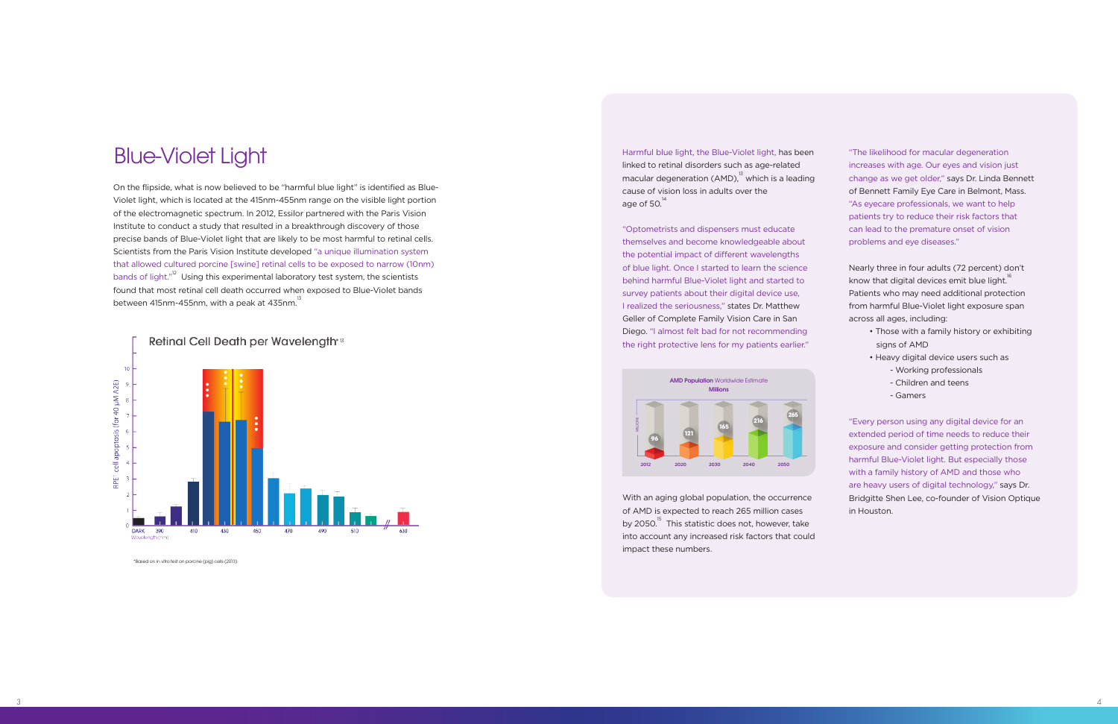### Blue-Violet Light

On the flipside, what is now believed to be "harmful blue light" is identified as Blue-Violet light, which is located at the 415nm-455nm range on the visible light portion of the electromagnetic spectrum. In 2012, Essilor partnered with the Paris Vision Institute to conduct a study that resulted in a breakthrough discovery of those precise bands of Blue-Violet light that are likely to be most harmful to retinal cells. Scientists from the Paris Vision Institute developed "a unique illumination system that allowed cultured porcine [swine] retinal cells to be exposed to narrow (10nm) bands of light."<sup>12</sup> Using this experimental laboratory test system, the scientists found that most retinal cell death occurred when exposed to Blue-Violet bands between 415nm-455nm, with a peak at 435nm. $^{13}$ 

Harmful blue light, the Blue-Violet light, has been linked to retinal disorders such as age-related macular degeneration (AMD), $^{13}$  which is a leading cause of vision loss in adults over the age of 50. $14$ 



\*Based on in vitro test on porcine (pig) cells (2013)

"Optometrists and dispensers must educate themselves and become knowledgeable about the potential impact of different wavelengths of blue light. Once I started to learn the science behind harmful Blue-Violet light and started to survey patients about their digital device use, I realized the seriousness," states Dr. Matthew Geller of Complete Family Vision Care in San Diego. "I almost felt bad for not recommending the right protective lens for my patients earlier."

With an aging global population, the occurrence of AMD is expected to reach 265 million cases by 2050.<sup>15</sup> This statistic does not, however, take into account any increased risk factors that could impact these numbers.

"The likelihood for macular degeneration increases with age. Our eyes and vision just change as we get older," says Dr. Linda Bennett of Bennett Family Eye Care in Belmont, Mass. "As eyecare professionals, we want to help patients try to reduce their risk factors that can lead to the premature onset of vision problems and eye diseases."

Nearly three in four adults (72 percent) don't know that digital devices emit blue light. $^{16}$ Patients who may need additional protection from harmful Blue-Violet light exposure span across all ages, including:

- Those with a family history or exhibiting signs of AMD
- Heavy digital device users such as
	- Working professionals
	- Children and teens
	- Gamers

"Every person using any digital device for an extended period of time needs to reduce their exposure and consider getting protection from harmful Blue-Violet light. But especially those with a family history of AMD and those who are heavy users of digital technology," says Dr. Bridgitte Shen Lee, co-founder of Vision Optique in Houston.

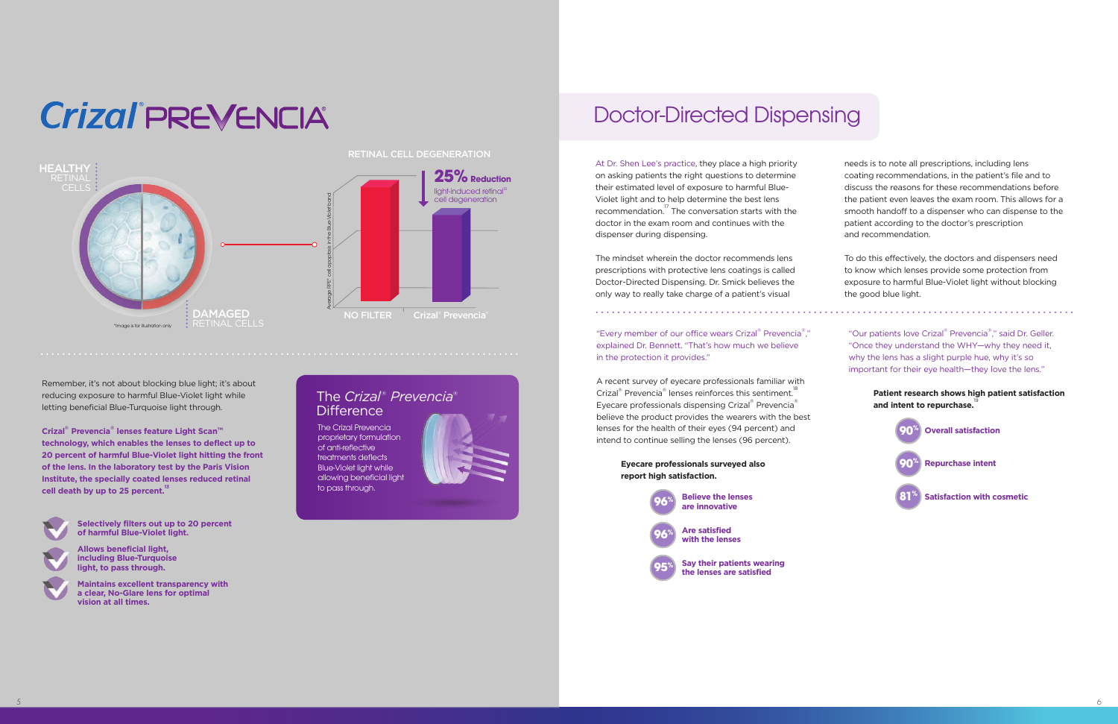## Doctor-Directed Dispensing

At Dr. Shen Lee's practice, they place a high priority on asking patients the right questions to determine their estimated level of exposure to harmful Blue-Violet light and to help determine the best lens recommendation.17 The conversation starts with the doctor in the exam room and continues with the dispenser during dispensing.

The mindset wherein the doctor recommends lens prescriptions with protective lens coatings is called Doctor-Directed Dispensing. Dr. Smick believes the only way to really take charge of a patient's visual

"Every member of our office wears Crizal® Prevencia®," explained Dr. Bennett. "That's how much we believe in the protection it provides."

needs is to note all prescriptions, including lens coating recommendations, in the patient's file and to discuss the reasons for these recommendations before the patient even leaves the exam room. This allows for a smooth handoff to a dispenser who can dispense to the patient according to the doctor's prescription and recommendation.

"Our patients love Crizal® Prevencia®," said Dr. Geller. "Once they understand the WHY—why they need it, why the lens has a slight purple hue, why it's so important for their eye health—they love the lens."

> **Patient research shows high patient satisfaction and intent to repurchase.**

To do this effectively, the doctors and dispensers need to know which lenses provide some protection from exposure to harmful Blue-Violet light without blocking the good blue light.

The *Crizal ® Prevencia®* **Difference** 

A recent survey of eyecare professionals familiar with Crizal® Prevencia® lenses reinforces this sentiment.<sup>18</sup> Eyecare professionals dispensing Crizal® Prevencia® believe the product provides the wearers with the best lenses for the health of their eyes (94 percent) and intend to continue selling the lenses (96 percent).

> **Eyecare professionals surveyed also report high satisfaction.**



**90% Overall satisfaction**



#### **Satisfaction with cosmetic**

The Crizal Prevencia proprietary formulation of anti-reflective treatments deflects Blue-Violet light while allowing beneficial light to pass through.



Remember, it's not about blocking blue light; it's about reducing exposure to harmful Blue-Violet light while letting beneficial Blue-Turquoise light through.

**Crizal® Prevencia® lenses feature Light Scan™ technology, which enables the lenses to deflect up to 20 percent of harmful Blue-Violet light hitting the front of the lens. In the laboratory test by the Paris Vision Institute, the specially coated lenses reduced retinal**  cell death by up to 25 percent.<sup>13</sup>



# **Crizal** PREVENCIA



**Selectively filters out up to 20 percent of harmful Blue-Violet light.**

**Allows beneficial light, including Blue-Turquoise light, to pass through.**

**Maintains excellent transparency with a clear, No-Glare lens for optimal vision at all times.**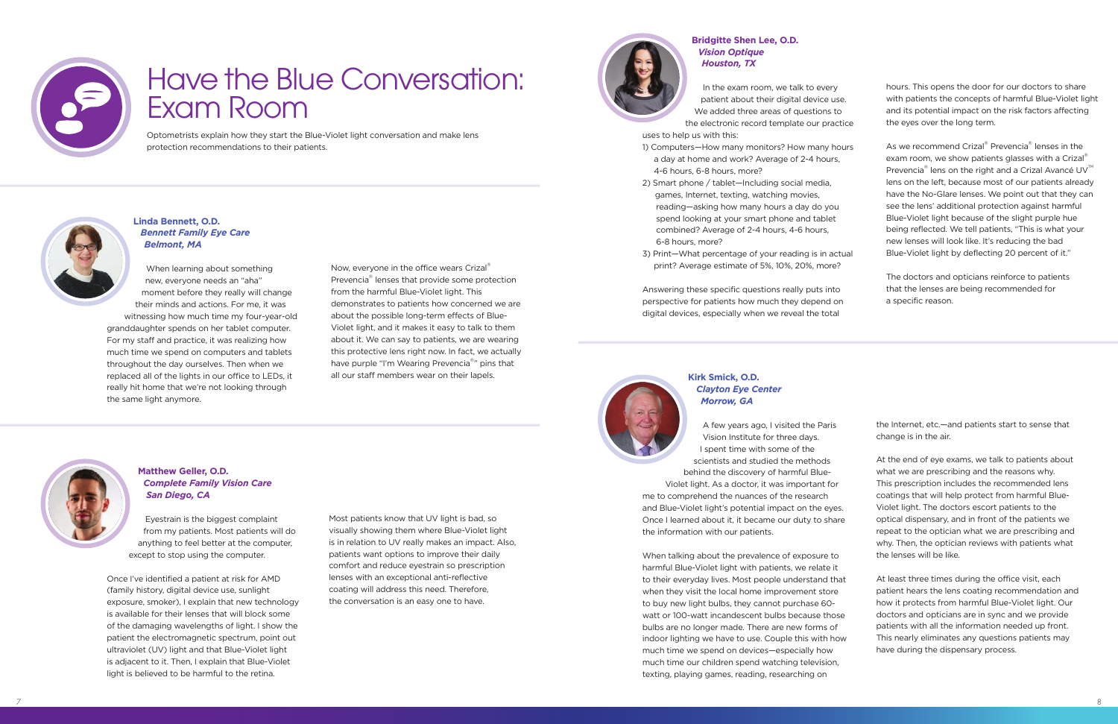

# Have the Blue Conversation: Exam Room

Optometrists explain how they start the Blue-Violet light conversation and make lens protection recommendations to their patients.



#### **Bridgitte Shen Lee, O.D.** *Vision Optique Houston, TX*

In the exam room, we talk to every patient about their digital device use. We added three areas of questions to

the electronic record template our practice uses to help us with this:

- 1) Computers—How many monitors? How many hours a day at home and work? Average of 2-4 hours, 4-6 hours, 6-8 hours, more?
- 2) Smart phone / tablet—Including social media, games, Internet, texting, watching movies, reading—asking how many hours a day do you spend looking at your smart phone and tablet combined? Average of 2-4 hours, 4-6 hours, 6-8 hours, more?
- 3) Print—What percentage of your reading is in actual print? Average estimate of 5%, 10%, 20%, more?

As we recommend Crizal® Prevencia® lenses in the exam room, we show patients glasses with a Crizal<sup>®</sup> Prevencia $^{\circ\!\!\!\!}$  lens on the right and a Crizal Avancé UV $^{\!\!\!\rm {}^{\scriptscriptstyle{\rm {TM}}}}$ lens on the left, because most of our patients already have the No-Glare lenses. We point out that they can see the lens' additional protection against harmful Blue-Violet light because of the slight purple hue being reflected. We tell patients, "This is what your new lenses will look like. It's reducing the bad Blue-Violet light by deflecting 20 percent of it."

Answering these specific questions really puts into perspective for patients how much they depend on digital devices, especially when we reveal the total



hours. This opens the door for our doctors to share with patients the concepts of harmful Blue-Violet light and its potential impact on the risk factors affecting the eyes over the long term.

The doctors and opticians reinforce to patients that the lenses are being recommended for a specific reason.

**Kirk Smick, O.D.** *Clayton Eye Center Morrow, GA*

A few years ago, I visited the Paris Vision Institute for three days. I spent time with some of the scientists and studied the methods

behind the discovery of harmful Blue-Violet light. As a doctor, it was important for me to comprehend the nuances of the research and Blue-Violet light's potential impact on the eyes. Once I learned about it, it became our duty to share the information with our patients.

When talking about the prevalence of exposure to harmful Blue-Violet light with patients, we relate it to their everyday lives. Most people understand that when they visit the local home improvement store to buy new light bulbs, they cannot purchase 60 watt or 100-watt incandescent bulbs because those bulbs are no longer made. There are new forms of indoor lighting we have to use. Couple this with how much time we spend on devices—especially how much time our children spend watching television, texting, playing games, reading, researching on

the Internet, etc.—and patients start to sense that change is in the air.

At the end of eye exams, we talk to patients about what we are prescribing and the reasons why. This prescription includes the recommended lens coatings that will help protect from harmful Blue-Violet light. The doctors escort patients to the optical dispensary, and in front of the patients we repeat to the optician what we are prescribing and why. Then, the optician reviews with patients what the lenses will be like.

At least three times during the office visit, each patient hears the lens coating recommendation and how it protects from harmful Blue-Violet light. Our doctors and opticians are in sync and we provide patients with all the information needed up front. This nearly eliminates any questions patients may have during the dispensary process.

#### **Linda Bennett, O.D.** *Bennett Family Eye Care Belmont, MA*

When learning about something new, everyone needs an "aha" moment before they really will change their minds and actions. For me, it was

witnessing how much time my four-year-old granddaughter spends on her tablet computer. For my staff and practice, it was realizing how much time we spend on computers and tablets throughout the day ourselves. Then when we replaced all of the lights in our office to LEDs, it really hit home that we're not looking through the same light anymore.

Now, everyone in the office wears Crizal® Prevencia® lenses that provide some protection from the harmful Blue-Violet light. This demonstrates to patients how concerned we are about the possible long-term effects of Blue-Violet light, and it makes it easy to talk to them about it. We can say to patients, we are wearing this protective lens right now. In fact, we actually have purple "I'm Wearing Prevencia<sup>®</sup>" pins that all our staff members wear on their lapels.



#### **Matthew Geller, O.D.** *Complete Family Vision Care San Diego, CA*

Eyestrain is the biggest complaint from my patients. Most patients will do anything to feel better at the computer, except to stop using the computer.

Once I've identified a patient at risk for AMD (family history, digital device use, sunlight exposure, smoker), I explain that new technology is available for their lenses that will block some of the damaging wavelengths of light. I show the patient the electromagnetic spectrum, point out ultraviolet (UV) light and that Blue-Violet light is adjacent to it. Then, I explain that Blue-Violet light is believed to be harmful to the retina.

Most patients know that UV light is bad, so visually showing them where Blue-Violet light is in relation to UV really makes an impact. Also, patients want options to improve their daily comfort and reduce eyestrain so prescription lenses with an exceptional anti-reflective coating will address this need. Therefore, the conversation is an easy one to have.